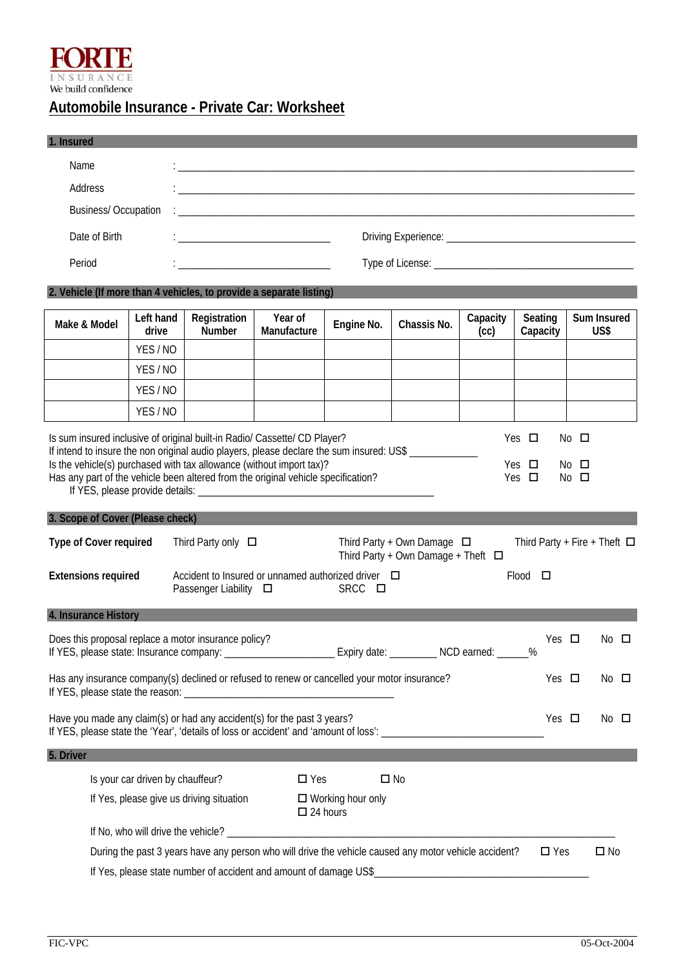

## **Automobile Insurance - Private Car: Worksheet**

| 1. Insured                                                                                                                                                                                                                                                        |                                  |                                                   |                                                                                                                      |                          |                                                                            |                  |                                   |                        |                     |  |
|-------------------------------------------------------------------------------------------------------------------------------------------------------------------------------------------------------------------------------------------------------------------|----------------------------------|---------------------------------------------------|----------------------------------------------------------------------------------------------------------------------|--------------------------|----------------------------------------------------------------------------|------------------|-----------------------------------|------------------------|---------------------|--|
| Name                                                                                                                                                                                                                                                              |                                  |                                                   | <u> 1980 - Johann John Stone, mars eta berriamen eta biztanleria (h. 1980).</u>                                      |                          |                                                                            |                  |                                   |                        |                     |  |
| Address                                                                                                                                                                                                                                                           |                                  |                                                   | <u> 1989 - Johann Stein, marwolaethau a bhann an t-Amhair an t-Amhair an t-Amhair an t-Amhair an t-Amhair an t-A</u> |                          |                                                                            |                  |                                   |                        |                     |  |
| <b>Business/Occupation</b>                                                                                                                                                                                                                                        |                                  |                                                   |                                                                                                                      |                          |                                                                            |                  |                                   |                        |                     |  |
| Date of Birth                                                                                                                                                                                                                                                     |                                  | <u> 1980 - Johann Barbara, martxa alemaniar a</u> |                                                                                                                      |                          |                                                                            |                  |                                   |                        |                     |  |
| Period                                                                                                                                                                                                                                                            |                                  |                                                   | <u> 1980 - Johann John Stone, mars eta bat eta bat eta bat eta bat eta bat eta bat eta bat eta bat eta bat eta b</u> |                          |                                                                            |                  |                                   |                        |                     |  |
| 2. Vehicle (If more than 4 vehicles, to provide a separate listing)                                                                                                                                                                                               |                                  |                                                   |                                                                                                                      |                          |                                                                            |                  |                                   |                        |                     |  |
| Make & Model                                                                                                                                                                                                                                                      | Left hand<br>drive               | Registration<br>Number                            | Year of<br>Manufacture                                                                                               | Engine No.               | Chassis No.                                                                | Capacity<br>(cc) | Seating<br>Capacity               |                        | Sum Insured<br>US\$ |  |
|                                                                                                                                                                                                                                                                   | YES/NO                           |                                                   |                                                                                                                      |                          |                                                                            |                  |                                   |                        |                     |  |
|                                                                                                                                                                                                                                                                   | YES/NO                           |                                                   |                                                                                                                      |                          |                                                                            |                  |                                   |                        |                     |  |
|                                                                                                                                                                                                                                                                   | YES/NO                           |                                                   |                                                                                                                      |                          |                                                                            |                  |                                   |                        |                     |  |
|                                                                                                                                                                                                                                                                   | YES/NO                           |                                                   |                                                                                                                      |                          |                                                                            |                  |                                   |                        |                     |  |
| If intend to insure the non original audio players, please declare the sum insured: US\$ ___________<br>Is the vehicle(s) purchased with tax allowance (without import tax)?<br>Has any part of the vehicle been altered from the original vehicle specification? |                                  |                                                   |                                                                                                                      |                          |                                                                            |                  | Yes $\Box$<br>Yes $\Box$          | No □<br>$No$ $\square$ |                     |  |
| 3. Scope of Cover (Please check)                                                                                                                                                                                                                                  |                                  |                                                   |                                                                                                                      |                          |                                                                            |                  |                                   |                        |                     |  |
| Type of Cover required                                                                                                                                                                                                                                            |                                  | Third Party only $\Box$                           |                                                                                                                      |                          | Third Party + Own Damage $\Box$<br>Third Party + Own Damage + Theft $\Box$ |                  | Third Party + Fire + Theft $\Box$ |                        |                     |  |
| <b>Extensions required</b>                                                                                                                                                                                                                                        |                                  | Passenger Liability $\square$                     | Accident to Insured or unnamed authorized driver $\Box$                                                              | SRCC □                   |                                                                            |                  | $Flood$ $\Box$                    |                        |                     |  |
| 4. Insurance History                                                                                                                                                                                                                                              |                                  |                                                   |                                                                                                                      |                          |                                                                            |                  |                                   |                        |                     |  |
| Does this proposal replace a motor insurance policy?<br>If YES, please state: Insurance company: ______________________Expiry date: _________NCD earned: ______%                                                                                                  |                                  |                                                   |                                                                                                                      |                          |                                                                            |                  | Yes $\Box$                        |                        | $No$ $\square$      |  |
| Has any insurance company(s) declined or refused to renew or cancelled your motor insurance?                                                                                                                                                                      |                                  |                                                   |                                                                                                                      |                          |                                                                            |                  | Yes $\Box$                        |                        | No $\square$        |  |
| Have you made any claim(s) or had any accident(s) for the past 3 years?                                                                                                                                                                                           |                                  |                                                   |                                                                                                                      |                          |                                                                            |                  | Yes $\Box$                        |                        | $No$ $\square$      |  |
| 5. Driver                                                                                                                                                                                                                                                         |                                  |                                                   |                                                                                                                      |                          |                                                                            |                  |                                   |                        |                     |  |
|                                                                                                                                                                                                                                                                   | Is your car driven by chauffeur? |                                                   | $\square$ Yes                                                                                                        |                          | $\square$ No                                                               |                  |                                   |                        |                     |  |
|                                                                                                                                                                                                                                                                   |                                  | If Yes, please give us driving situation          | $\Box$ 24 hours                                                                                                      | $\Box$ Working hour only |                                                                            |                  |                                   |                        |                     |  |
|                                                                                                                                                                                                                                                                   |                                  |                                                   |                                                                                                                      |                          |                                                                            |                  |                                   |                        |                     |  |
|                                                                                                                                                                                                                                                                   |                                  |                                                   | During the past 3 years have any person who will drive the vehicle caused any motor vehicle accident?                |                          |                                                                            |                  | $\square$ Yes                     |                        | $\square$ No        |  |
|                                                                                                                                                                                                                                                                   |                                  |                                                   | If Yes, please state number of accident and amount of damage US\$                                                    |                          |                                                                            |                  |                                   |                        |                     |  |